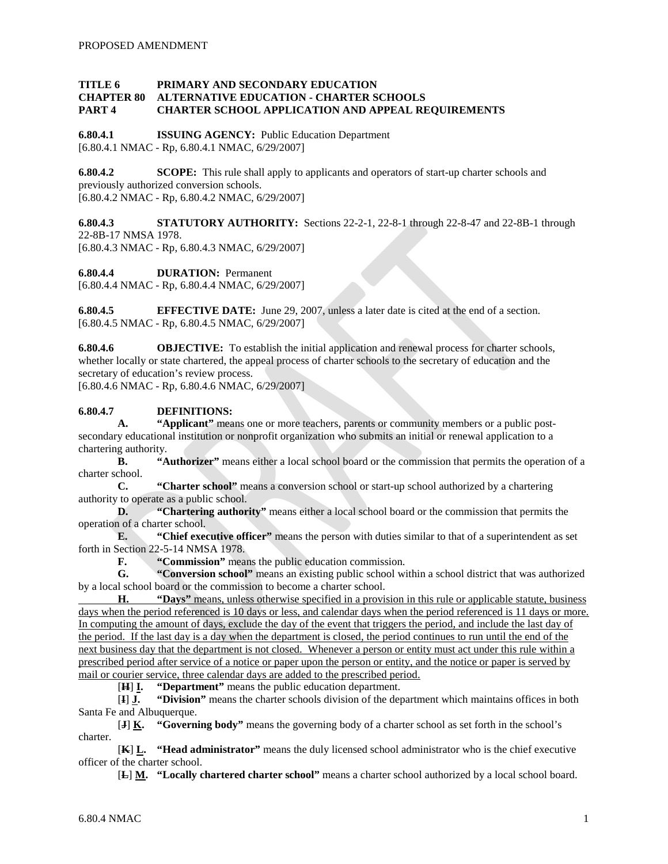#### **TITLE 6 PRIMARY AND SECONDARY EDUCATION CHAPTER 80 ALTERNATIVE EDUCATION - CHARTER SCHOOLS PART 4 CHARTER SCHOOL APPLICATION AND APPEAL REQUIREMENTS**

**6.80.4.1 ISSUING AGENCY:** Public Education Department [6.80.4.1 NMAC - Rp, 6.80.4.1 NMAC, 6/29/2007]

**6.80.4.2 SCOPE:** This rule shall apply to applicants and operators of start-up charter schools and previously authorized conversion schools. [6.80.4.2 NMAC - Rp, 6.80.4.2 NMAC, 6/29/2007]

**6.80.4.3 STATUTORY AUTHORITY:** Sections 22-2-1, 22-8-1 through 22-8-47 and 22-8B-1 through 22-8B-17 NMSA 1978. [6.80.4.3 NMAC - Rp, 6.80.4.3 NMAC, 6/29/2007]

**6.80.4.4 DURATION:** Permanent

[6.80.4.4 NMAC - Rp, 6.80.4.4 NMAC, 6/29/2007]

**6.80.4.5 EFFECTIVE DATE:** June 29, 2007, unless a later date is cited at the end of a section. [6.80.4.5 NMAC - Rp, 6.80.4.5 NMAC, 6/29/2007]

**6.80.4.6 OBJECTIVE:** To establish the initial application and renewal process for charter schools, whether locally or state chartered, the appeal process of charter schools to the secretary of education and the secretary of education's review process.

[6.80.4.6 NMAC - Rp, 6.80.4.6 NMAC, 6/29/2007]

## **6.80.4.7 DEFINITIONS:**

**A. "Applicant"** means one or more teachers, parents or community members or a public postsecondary educational institution or nonprofit organization who submits an initial or renewal application to a chartering authority.

**B. "Authorizer"** means either a local school board or the commission that permits the operation of a charter school.

**C. "Charter school"** means a conversion school or start-up school authorized by a chartering authority to operate as a public school.<br>D. "Chartering author

**D. "Chartering authority"** means either a local school board or the commission that permits the operation of a charter school.

**E. "Chief executive officer"** means the person with duties similar to that of a superintendent as set forth in Section 22-5-14 NMSA 1978.

**F. "Commission"** means the public education commission.

**G. "Conversion school"** means an existing public school within a school district that was authorized by a local school board or the commission to become a charter school.

**H. "Days"** means, unless otherwise specified in a provision in this rule or applicable statute, business days when the period referenced is 10 days or less, and calendar days when the period referenced is 11 days or more. In computing the amount of days, exclude the day of the event that triggers the period, and include the last day of the period. If the last day is a day when the department is closed, the period continues to run until the end of the next business day that the department is not closed. Whenever a person or entity must act under this rule within a prescribed period after service of a notice or paper upon the person or entity, and the notice or paper is served by mail or courier service, three calendar days are added to the prescribed period.

[ **H "Department"** means the public education department.

[ **I** ] **J. "Division"** means the charter schools division of the department which maintains offices in both Santa Fe and Albuquerque.

[ **J** ] **K. "Governing body"** means the governing body of a charter school as set forth in the school's charter.

[ **K** ] **L. "Head administrator"** means the duly licensed school administrator who is the chief executive officer of the charter school.

[ **L**] **M. "Locally chartered charter school"** means a charter school authorized by a local school board.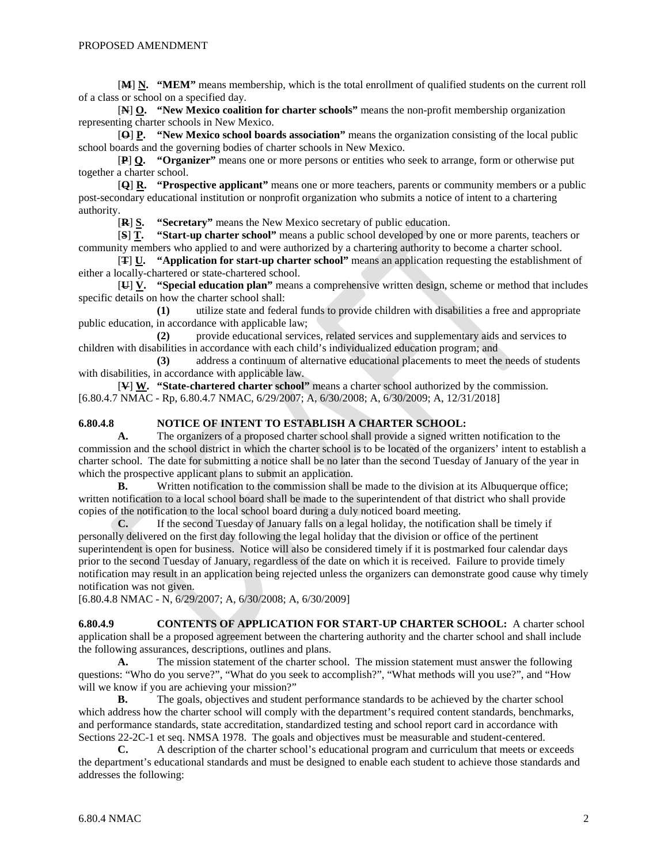[**M** ] **N. "MEM"** means membership, which is the total enrollment of qualified students on the current roll of a class or school on a specified day.

[ **N** ] **O. "New Mexico coalition for charter schools"** means the non-profit membership organization representing charter schools in New Mexico.

[ **O** ] **P. "New Mexico school boards association"** means the organization consisting of the local public school boards and the governing bodies of charter schools in New Mexico.

[ **P** ] **Q. "Organizer"** means one or more persons or entities who seek to arrange, form or otherwise put together a charter school.

[ **Q** ] **R. "Prospective applicant"** means one or more teachers, parents or community members or a public post-secondary educational institution or nonprofit organization who submits a notice of intent to a chartering authority.

[ **R** "Secretary" means the New Mexico secretary of public education.

[ **S "Start-up charter school"** means a public school developed by one or more parents, teachers or community members who applied to and were authorized by a chartering authority to become a charter school.

[ **T** ] **U. "Application for start-up charter school"** means an application requesting the establishment of either a locally-chartered or state-chartered school.

[ **U** ] **V. "Special education plan"** means a comprehensive written design, scheme or method that includes specific details on how the charter school shall:

**(1)** utilize state and federal funds to provide children with disabilities a free and appropriate public education, in accordance with applicable law;

**(2)** provide educational services, related services and supplementary aids and services to children with disabilities in accordance with each child's individualized education program; and

**(3)** address a continuum of alternative educational placements to meet the needs of students with disabilities, in accordance with applicable law.

[**V** ] **W. "State-chartered charter school"** means a charter school authorized by the commission. [6.80.4.7 NMAC - Rp, 6.80.4.7 NMAC, 6/29/2007; A, 6/30/2008; A, 6/30/2009; A, 12/31/2018]

#### **6.80.4.8 NOTICE OF INTENT TO ESTABLISH A CHARTER SCHOOL:**

**A.** The organizers of a proposed charter school shall provide a signed written notification to the commission and the school district in which the charter school is to be located of the organizers' intent to establish a charter school. The date for submitting a notice shall be no later than the second Tuesday of January of the year in which the prospective applicant plans to submit an application.

**B.** Written notification to the commission shall be made to the division at its Albuquerque office; written notification to a local school board shall be made to the superintendent of that district who shall provide copies of the notification to the local school board during a duly noticed board meeting.

**C.** If the second Tuesday of January falls on a legal holiday, the notification shall be timely if personally delivered on the first day following the legal holiday that the division or office of the pertinent superintendent is open for business. Notice will also be considered timely if it is postmarked four calendar days prior to the second Tuesday of January, regardless of the date on which it is received. Failure to provide timely notification may result in an application being rejected unless the organizers can demonstrate good cause why timely notification was not given.

[6.80.4.8 NMAC - N, 6/29/2007; A, 6/30/2008; A, 6/30/2009]

**6.80.4.9 CONTENTS OF APPLICATION FOR START-UP CHARTER SCHOOL:** A charter school application shall be a proposed agreement between the chartering authority and the charter school and shall include the following assurances, descriptions, outlines and plans.

**A.** The mission statement of the charter school. The mission statement must answer the following questions: "Who do you serve?", "What do you seek to accomplish?", "What methods will you use?", and "How will we know if you are achieving your mission?"

**B.** The goals, objectives and student performance standards to be achieved by the charter school which address how the charter school will comply with the department's required content standards, benchmarks, and performance standards, state accreditation, standardized testing and school report card in accordance with Sections 22-2C-1 et seq. NMSA 1978. The goals and objectives must be measurable and student-centered.

**C.** A description of the charter school's educational program and curriculum that meets or exceeds the department's educational standards and must be designed to enable each student to achieve those standards and addresses the following: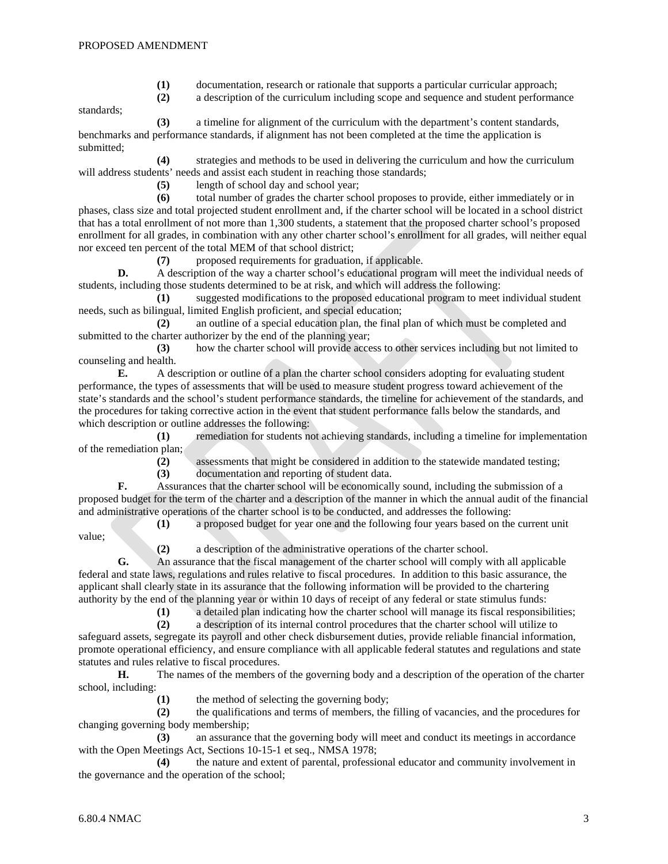- (1) documentation, research or rationale that supports a particular curricular approach;<br>(2) a description of the curriculum including scope and sequence and student performal
- **(2)** a description of the curriculum including scope and sequence and student performance

standards;

**(3)** a timeline for alignment of the curriculum with the department's content standards, benchmarks and performance standards, if alignment has not been completed at the time the application is submitted;

**(4)** strategies and methods to be used in delivering the curriculum and how the curriculum will address students' needs and assist each student in reaching those standards;

**(5)** length of school day and school year;

**(6)** total number of grades the charter school proposes to provide, either immediately or in phases, class size and total projected student enrollment and, if the charter school will be located in a school district that has a total enrollment of not more than 1,300 students, a statement that the proposed charter school's proposed enrollment for all grades, in combination with any other charter school's enrollment for all grades, will neither equal nor exceed ten percent of the total MEM of that school district;

**(7)** proposed requirements for graduation, if applicable.

**D.** A description of the way a charter school's educational program will meet the individual needs of students, including those students determined to be at risk, and which will address the following:

**(1)** suggested modifications to the proposed educational program to meet individual student needs, such as bilingual, limited English proficient, and special education;

**(2)** an outline of a special education plan, the final plan of which must be completed and submitted to the charter authorizer by the end of the planning year;

**(3)** how the charter school will provide access to other services including but not limited to counseling and health.

**E.** A description or outline of a plan the charter school considers adopting for evaluating student performance, the types of assessments that will be used to measure student progress toward achievement of the state's standards and the school's student performance standards, the timeline for achievement of the standards, and the procedures for taking corrective action in the event that student performance falls below the standards, and which description or outline addresses the following:

**(1)** remediation for students not achieving standards, including a timeline for implementation of the remediation plan;

**(2)** assessments that might be considered in addition to the statewide mandated testing;

**(3)** documentation and reporting of student data.

**F.** Assurances that the charter school will be economically sound, including the submission of a proposed budget for the term of the charter and a description of the manner in which the annual audit of the financial and administrative operations of the charter school is to be conducted, and addresses the following:

value;

**(1)** a proposed budget for year one and the following four years based on the current unit

**(2)** a description of the administrative operations of the charter school.

**G.** An assurance that the fiscal management of the charter school will comply with all applicable federal and state laws, regulations and rules relative to fiscal procedures. In addition to this basic assurance, the applicant shall clearly state in its assurance that the following information will be provided to the chartering authority by the end of the planning year or within 10 days of receipt of any federal or state stimulus funds:

(1) a detailed plan indicating how the charter school will manage its fiscal responsibilities;<br>(2) a description of its internal control procedures that the charter school will utilize to

**(2)** a description of its internal control procedures that the charter school will utilize to

safeguard assets, segregate its payroll and other check disbursement duties, provide reliable financial information, promote operational efficiency, and ensure compliance with all applicable federal statutes and regulations and state statutes and rules relative to fiscal procedures.

**H.** The names of the members of the governing body and a description of the operation of the charter school, including:

**(1)** the method of selecting the governing body;

**(2)** the qualifications and terms of members, the filling of vacancies, and the procedures for changing governing body membership;

**(3)** an assurance that the governing body will meet and conduct its meetings in accordance with the Open Meetings Act, Sections 10-15-1 et seq., NMSA 1978;

**(4)** the nature and extent of parental, professional educator and community involvement in the governance and the operation of the school;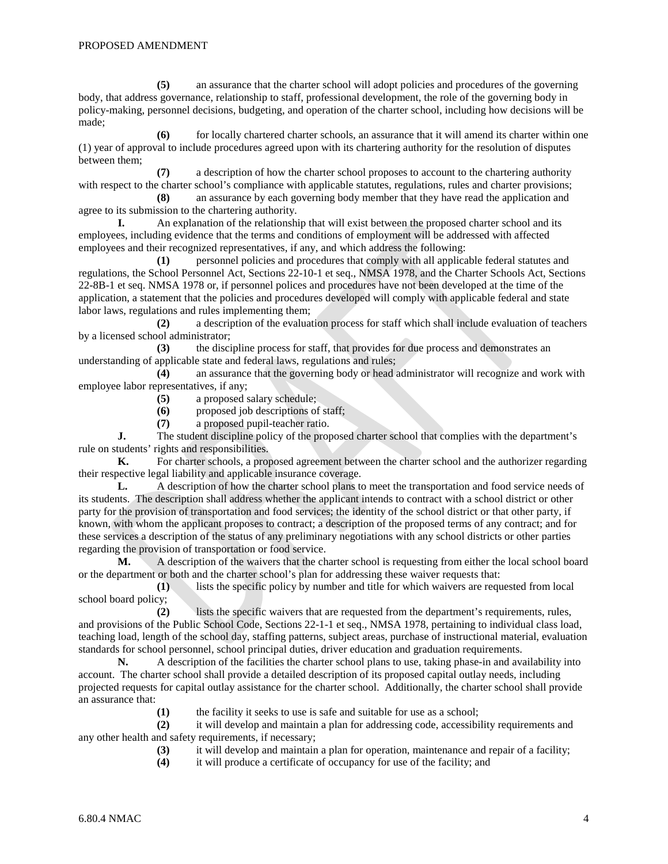**(5)** an assurance that the charter school will adopt policies and procedures of the governing body, that address governance, relationship to staff, professional development, the role of the governing body in policy-making, personnel decisions, budgeting, and operation of the charter school, including how decisions will be made;

**(6)** for locally chartered charter schools, an assurance that it will amend its charter within one (1) year of approval to include procedures agreed upon with its chartering authority for the resolution of disputes between them;

**(7)** a description of how the charter school proposes to account to the chartering authority with respect to the charter school's compliance with applicable statutes, regulations, rules and charter provisions;

**(8)** an assurance by each governing body member that they have read the application and agree to its submission to the chartering authority.

**I.** An explanation of the relationship that will exist between the proposed charter school and its employees, including evidence that the terms and conditions of employment will be addressed with affected employees and their recognized representatives, if any, and which address the following:

**(1)** personnel policies and procedures that comply with all applicable federal statutes and regulations, the School Personnel Act, Sections 22-10-1 et seq., NMSA 1978, and the Charter Schools Act, Sections 22-8B-1 et seq. NMSA 1978 or, if personnel polices and procedures have not been developed at the time of the application, a statement that the policies and procedures developed will comply with applicable federal and state labor laws, regulations and rules implementing them;

**(2)** a description of the evaluation process for staff which shall include evaluation of teachers by a licensed school administrator;

**(3)** the discipline process for staff, that provides for due process and demonstrates an understanding of applicable state and federal laws, regulations and rules;

**(4)** an assurance that the governing body or head administrator will recognize and work with employee labor representatives, if any;

**(5)** a proposed salary schedule;

**(6)** proposed job descriptions of staff;

**(7)** a proposed pupil-teacher ratio.

**J.** The student discipline policy of the proposed charter school that complies with the department's rule on students' rights and responsibilities.

**K.** For charter schools, a proposed agreement between the charter school and the authorizer regarding their respective legal liability and applicable insurance coverage.

**L.** A description of how the charter school plans to meet the transportation and food service needs of its students. The description shall address whether the applicant intends to contract with a school district or other party for the provision of transportation and food services; the identity of the school district or that other party, if known, with whom the applicant proposes to contract; a description of the proposed terms of any contract; and for these services a description of the status of any preliminary negotiations with any school districts or other parties regarding the provision of transportation or food service.

**M.** A description of the waivers that the charter school is requesting from either the local school board or the department or both and the charter school's plan for addressing these waiver requests that:

**(1)** lists the specific policy by number and title for which waivers are requested from local school board policy;

**(2)** lists the specific waivers that are requested from the department's requirements, rules, and provisions of the Public School Code, Sections 22-1-1 et seq., NMSA 1978, pertaining to individual class load, teaching load, length of the school day, staffing patterns, subject areas, purchase of instructional material, evaluation standards for school personnel, school principal duties, driver education and graduation requirements.

**N.** A description of the facilities the charter school plans to use, taking phase-in and availability into account. The charter school shall provide a detailed description of its proposed capital outlay needs, including projected requests for capital outlay assistance for the charter school. Additionally, the charter school shall provide an assurance that:

**(1)** the facility it seeks to use is safe and suitable for use as a school;

**(2)** it will develop and maintain a plan for addressing code, accessibility requirements and any other health and safety requirements, if necessary;

**(3)** it will develop and maintain a plan for operation, maintenance and repair of a facility;

**(4)** it will produce a certificate of occupancy for use of the facility; and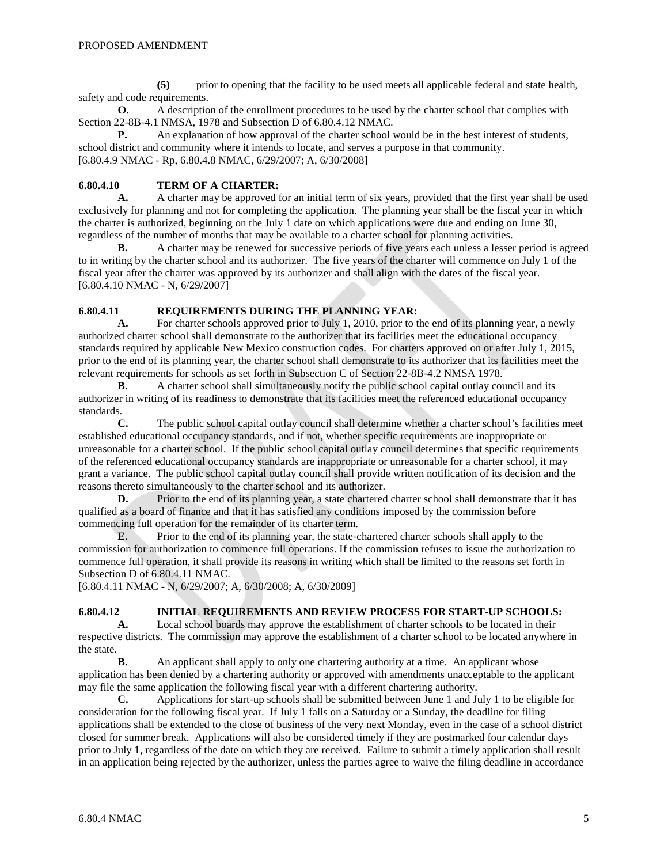**(5)** prior to opening that the facility to be used meets all applicable federal and state health, safety and code requirements.

**O.** A description of the enrollment procedures to be used by the charter school that complies with Section 22-8B-4.1 NMSA, 1978 and Subsection D of 6.80.4.12 NMAC.

**P.** An explanation of how approval of the charter school would be in the best interest of students, school district and community where it intends to locate, and serves a purpose in that community. [6.80.4.9 NMAC - Rp, 6.80.4.8 NMAC, 6/29/2007; A, 6/30/2008]

#### **6.80.4.10 TERM OF A CHARTER:**

**A.** A charter may be approved for an initial term of six years, provided that the first year shall be used exclusively for planning and not for completing the application. The planning year shall be the fiscal year in which the charter is authorized, beginning on the July 1 date on which applications were due and ending on June 30, regardless of the number of months that may be available to a charter school for planning activities.

**B.** A charter may be renewed for successive periods of five years each unless a lesser period is agreed to in writing by the charter school and its authorizer. The five years of the charter will commence on July 1 of the fiscal year after the charter was approved by its authorizer and shall align with the dates of the fiscal year. [6.80.4.10 NMAC - N, 6/29/2007]

# **6.80.4.11 <b>REQUIREMENTS DURING THE PLANNING YEAR:**<br>**A.** For charter schools approved prior to July 1, 2010, prior to t

For charter schools approved prior to July 1, 2010, prior to the end of its planning year, a newly authorized charter school shall demonstrate to the authorizer that its facilities meet the educational occupancy standards required by applicable New Mexico construction codes. For charters approved on or after July 1, 2015, prior to the end of its planning year, the charter school shall demonstrate to its authorizer that its facilities meet the relevant requirements for schools as set forth in Subsection C of Section 22-8B-4.2 NMSA 1978.

**B.** A charter school shall simultaneously notify the public school capital outlay council and its authorizer in writing of its readiness to demonstrate that its facilities meet the referenced educational occupancy standards.

**C.** The public school capital outlay council shall determine whether a charter school's facilities meet established educational occupancy standards, and if not, whether specific requirements are inappropriate or unreasonable for a charter school. If the public school capital outlay council determines that specific requirements of the referenced educational occupancy standards are inappropriate or unreasonable for a charter school, it may grant a variance. The public school capital outlay council shall provide written notification of its decision and the reasons thereto simultaneously to the charter school and its authorizer.

**D.** Prior to the end of its planning year, a state chartered charter school shall demonstrate that it has qualified as a board of finance and that it has satisfied any conditions imposed by the commission before commencing full operation for the remainder of its charter term.

**E.** Prior to the end of its planning year, the state-chartered charter schools shall apply to the commission for authorization to commence full operations. If the commission refuses to issue the authorization to commence full operation, it shall provide its reasons in writing which shall be limited to the reasons set forth in Subsection D of 6.80.4.11 NMAC.

[6.80.4.11 NMAC - N, 6/29/2007; A, 6/30/2008; A, 6/30/2009]

## **6.80.4.12 INITIAL REQUIREMENTS AND REVIEW PROCESS FOR START-UP SCHOOLS:**

**A.** Local school boards may approve the establishment of charter schools to be located in their respective districts. The commission may approve the establishment of a charter school to be located anywhere in the state.

**B.** An applicant shall apply to only one chartering authority at a time. An applicant whose application has been denied by a chartering authority or approved with amendments unacceptable to the applicant may file the same application the following fiscal year with a different chartering authority.

**C.** Applications for start-up schools shall be submitted between June 1 and July 1 to be eligible for consideration for the following fiscal year. If July 1 falls on a Saturday or a Sunday, the deadline for filing applications shall be extended to the close of business of the very next Monday, even in the case of a school district closed for summer break. Applications will also be considered timely if they are postmarked four calendar days prior to July 1, regardless of the date on which they are received. Failure to submit a timely application shall result in an application being rejected by the authorizer, unless the parties agree to waive the filing deadline in accordance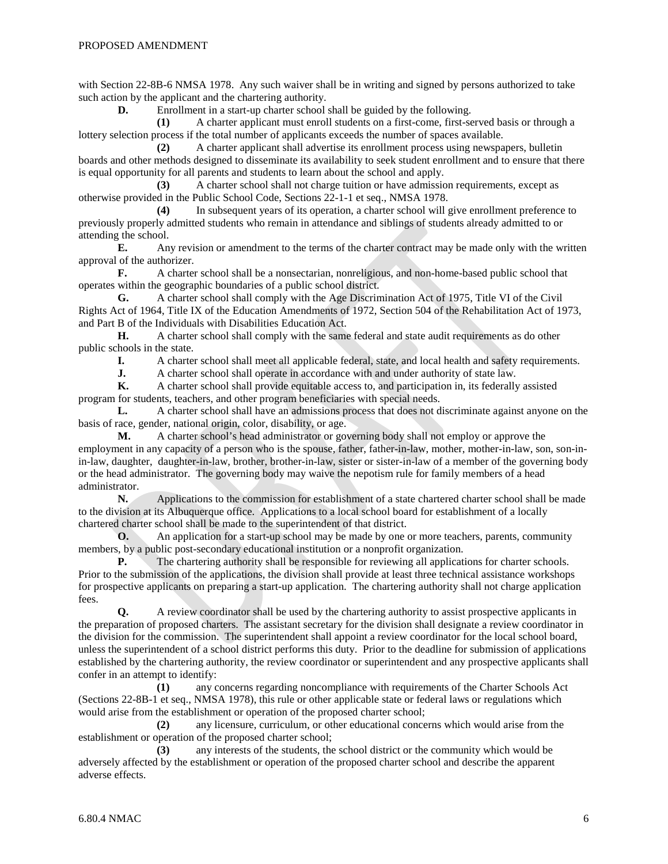with Section 22-8B-6 NMSA 1978. Any such waiver shall be in writing and signed by persons authorized to take such action by the applicant and the chartering authority.

**D.** Enrollment in a start-up charter school shall be guided by the following.

**(1)** A charter applicant must enroll students on a first-come, first-served basis or through a lottery selection process if the total number of applicants exceeds the number of spaces available.

**(2)** A charter applicant shall advertise its enrollment process using newspapers, bulletin boards and other methods designed to disseminate its availability to seek student enrollment and to ensure that there is equal opportunity for all parents and students to learn about the school and apply.

**(3)** A charter school shall not charge tuition or have admission requirements, except as otherwise provided in the Public School Code, Sections 22-1-1 et seq., NMSA 1978.

**(4)** In subsequent years of its operation, a charter school will give enrollment preference to previously properly admitted students who remain in attendance and siblings of students already admitted to or attending the school.<br>**E.** Any

**E.** Any revision or amendment to the terms of the charter contract may be made only with the written approval of the authorizer.

**F.** A charter school shall be a nonsectarian, nonreligious, and non-home-based public school that operates within the geographic boundaries of a public school district.

**G.** A charter school shall comply with the Age Discrimination Act of 1975, Title VI of the Civil Rights Act of 1964, Title IX of the Education Amendments of 1972, Section 504 of the Rehabilitation Act of 1973, and Part B of the Individuals with Disabilities Education Act.

**H.** A charter school shall comply with the same federal and state audit requirements as do other public schools in the state.<br> **I.** A charter

**I.** A charter school shall meet all applicable federal, state, and local health and safety requirements.<br> **J.** A charter school shall operate in accordance with and under authority of state law.

**J.** A charter school shall operate in accordance with and under authority of state law.<br> **K.** A charter school shall provide equitable access to, and participation in, its federally

**K.** A charter school shall provide equitable access to, and participation in, its federally assisted program for students, teachers, and other program beneficiaries with special needs.

**L.** A charter school shall have an admissions process that does not discriminate against anyone on the basis of race, gender, national origin, color, disability, or age.

**M.** A charter school's head administrator or governing body shall not employ or approve the employment in any capacity of a person who is the spouse, father, father-in-law, mother, mother-in-law, son, son-inin-law, daughter, daughter-in-law, brother, brother-in-law, sister or sister-in-law of a member of the governing body or the head administrator. The governing body may waive the nepotism rule for family members of a head administrator.

**N.** Applications to the commission for establishment of a state chartered charter school shall be made to the division at its Albuquerque office. Applications to a local school board for establishment of a locally chartered charter school shall be made to the superintendent of that district.

**O.** An application for a start-up school may be made by one or more teachers, parents, community members, by a public post-secondary educational institution or a nonprofit organization.

**P.** The chartering authority shall be responsible for reviewing all applications for charter schools. Prior to the submission of the applications, the division shall provide at least three technical assistance workshops for prospective applicants on preparing a start-up application. The chartering authority shall not charge application fees.

**Q.** A review coordinator shall be used by the chartering authority to assist prospective applicants in the preparation of proposed charters. The assistant secretary for the division shall designate a review coordinator in the division for the commission. The superintendent shall appoint a review coordinator for the local school board, unless the superintendent of a school district performs this duty. Prior to the deadline for submission of applications established by the chartering authority, the review coordinator or superintendent and any prospective applicants shall confer in an attempt to identify:

**(1)** any concerns regarding noncompliance with requirements of the Charter Schools Act (Sections 22-8B-1 et seq., NMSA 1978), this rule or other applicable state or federal laws or regulations which would arise from the establishment or operation of the proposed charter school;

**(2)** any licensure, curriculum, or other educational concerns which would arise from the establishment or operation of the proposed charter school;

**(3)** any interests of the students, the school district or the community which would be adversely affected by the establishment or operation of the proposed charter school and describe the apparent adverse effects.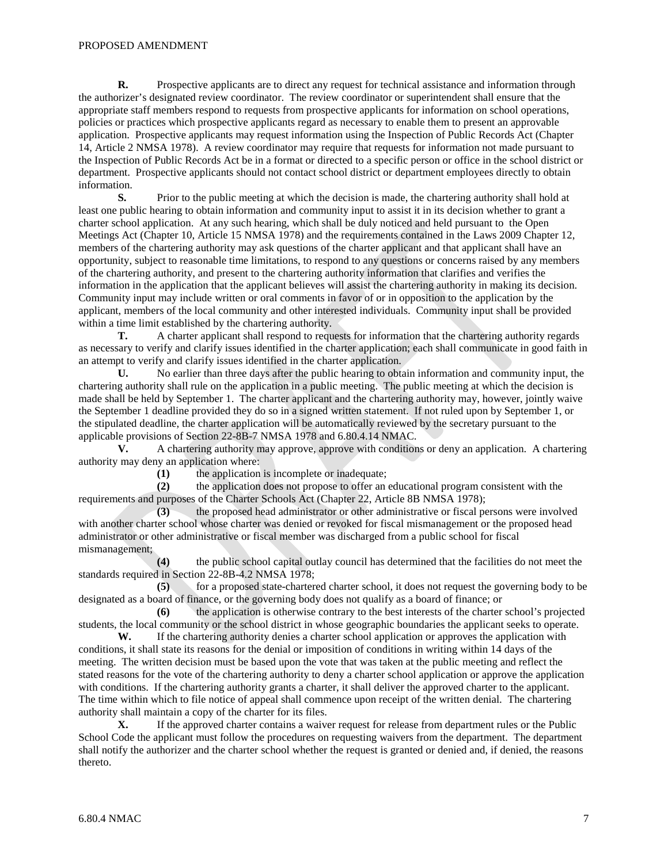**R.** Prospective applicants are to direct any request for technical assistance and information through the authorizer's designated review coordinator. The review coordinator or superintendent shall ensure that the appropriate staff members respond to requests from prospective applicants for information on school operations, policies or practices which prospective applicants regard as necessary to enable them to present an approvable application. Prospective applicants may request information using the Inspection of Public Records Act (Chapter 14, Article 2 NMSA 1978). A review coordinator may require that requests for information not made pursuant to the Inspection of Public Records Act be in a format or directed to a specific person or office in the school district or department. Prospective applicants should not contact school district or department employees directly to obtain information.

**S.** Prior to the public meeting at which the decision is made, the chartering authority shall hold at least one public hearing to obtain information and community input to assist it in its decision whether to grant a charter school application. At any such hearing, which shall be duly noticed and held pursuant to the Open Meetings Act (Chapter 10, Article 15 NMSA 1978) and the requirements contained in the Laws 2009 Chapter 12, members of the chartering authority may ask questions of the charter applicant and that applicant shall have an opportunity, subject to reasonable time limitations, to respond to any questions or concerns raised by any members of the chartering authority, and present to the chartering authority information that clarifies and verifies the information in the application that the applicant believes will assist the chartering authority in making its decision. Community input may include written or oral comments in favor of or in opposition to the application by the applicant, members of the local community and other interested individuals. Community input shall be provided within a time limit established by the chartering authority.

**T.** A charter applicant shall respond to requests for information that the chartering authority regards as necessary to verify and clarify issues identified in the charter application; each shall communicate in good faith in an attempt to verify and clarify issues identified in the charter application.

**U.** No earlier than three days after the public hearing to obtain information and community input, the chartering authority shall rule on the application in a public meeting. The public meeting at which the decision is made shall be held by September 1. The charter applicant and the chartering authority may, however, jointly waive the September 1 deadline provided they do so in a signed written statement. If not ruled upon by September 1, or the stipulated deadline, the charter application will be automatically reviewed by the secretary pursuant to the applicable provisions of Section 22-8B-7 NMSA 1978 and 6.80.4.14 NMAC.

**V.** A chartering authority may approve, approve with conditions or deny an application. A chartering authority may deny an application where:

**(1)** the application is incomplete or inadequate;

**(2)** the application does not propose to offer an educational program consistent with the requirements and purposes of the Charter Schools Act (Chapter 22, Article 8B NMSA 1978);<br>(3) the proposed head administrator or other administrative or fiscal per

**(3)** the proposed head administrator or other administrative or fiscal persons were involved with another charter school whose charter was denied or revoked for fiscal mismanagement or the proposed head administrator or other administrative or fiscal member was discharged from a public school for fiscal mismanagement;

**(4)** the public school capital outlay council has determined that the facilities do not meet the standards required in Section 22-8B-4.2 NMSA 1978;

**(5)** for a proposed state-chartered charter school, it does not request the governing body to be designated as a board of finance, or the governing body does not qualify as a board of finance; or

**(6)** the application is otherwise contrary to the best interests of the charter school's projected students, the local community or the school district in whose geographic boundaries the applicant seeks to operate.

**W.** If the chartering authority denies a charter school application or approves the application with conditions, it shall state its reasons for the denial or imposition of conditions in writing within 14 days of the meeting. The written decision must be based upon the vote that was taken at the public meeting and reflect the stated reasons for the vote of the chartering authority to deny a charter school application or approve the application with conditions. If the chartering authority grants a charter, it shall deliver the approved charter to the applicant. The time within which to file notice of appeal shall commence upon receipt of the written denial. The chartering authority shall maintain a copy of the charter for its files.

**X.** If the approved charter contains a waiver request for release from department rules or the Public School Code the applicant must follow the procedures on requesting waivers from the department. The department shall notify the authorizer and the charter school whether the request is granted or denied and, if denied, the reasons thereto.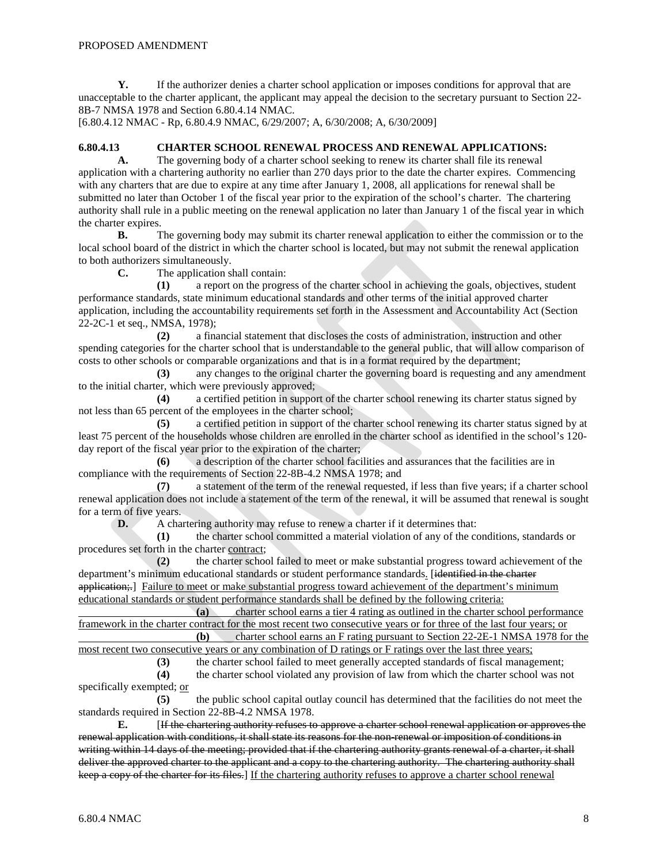**Y.** If the authorizer denies a charter school application or imposes conditions for approval that are unacceptable to the charter applicant, the applicant may appeal the decision to the secretary pursuant to Section 22- 8B-7 NMSA 1978 and Section 6.80.4.14 NMAC.

[6.80.4.12 NMAC - Rp, 6.80.4.9 NMAC, 6/29/2007; A, 6/30/2008; A, 6/30/2009]

#### **6.80.4.13 CHARTER SCHOOL RENEWAL PROCESS AND RENEWAL APPLICATIONS:**

**A.** The governing body of a charter school seeking to renew its charter shall file its renewal application with a chartering authority no earlier than 270 days prior to the date the charter expires. Commencing with any charters that are due to expire at any time after January 1, 2008, all applications for renewal shall be submitted no later than October 1 of the fiscal year prior to the expiration of the school's charter. The chartering authority shall rule in a public meeting on the renewal application no later than January 1 of the fiscal year in which the charter expires.

**B.** The governing body may submit its charter renewal application to either the commission or to the local school board of the district in which the charter school is located, but may not submit the renewal application to both authorizers simultaneously.

**C.** The application shall contain:

**(1)** a report on the progress of the charter school in achieving the goals, objectives, student performance standards, state minimum educational standards and other terms of the initial approved charter application, including the accountability requirements set forth in the Assessment and Accountability Act (Section 22-2C-1 et seq., NMSA, 1978);

**(2)** a financial statement that discloses the costs of administration, instruction and other spending categories for the charter school that is understandable to the general public, that will allow comparison of costs to other schools or comparable organizations and that is in a format required by the department;

**(3)** any changes to the original charter the governing board is requesting and any amendment to the initial charter, which were previously approved;

**(4)** a certified petition in support of the charter school renewing its charter status signed by not less than 65 percent of the employees in the charter school;

**(5)** a certified petition in support of the charter school renewing its charter status signed by at least 75 percent of the households whose children are enrolled in the charter school as identified in the school's 120 day report of the fiscal year prior to the expiration of the charter;

**(6)** a description of the charter school facilities and assurances that the facilities are in compliance with the requirements of Section 22-8B-4.2 NMSA 1978; and

**(7)** a statement of the term of the renewal requested, if less than five years; if a charter school renewal application does not include a statement of the term of the renewal, it will be assumed that renewal is sought for a term of five years.

**D.** A chartering authority may refuse to renew a charter if it determines that:

**(1)** the charter school committed a material violation of any of the conditions, standards or procedures set forth in the charter contract;

**(2)** the charter school failed to meet or make substantial progress toward achievement of the department's minimum educational standards or student performance standards. [identified in the charter application;... Failure to meet or make substantial progress toward achievement of the department's minimum educational standards or student performance standards shall be defined by the following criteria:

**(a)** charter school earns a tier 4 rating as outlined in the charter school performance framework in the charter contract for the most recent two consecutive years or for three of the last four years; or **(b)** charter school earns an F rating pursuant to Section 22-2E-1 NMSA 1978 for the

most recent two consecutive years or any combination of D ratings or F ratings over the last three years;

**(3)** the charter school failed to meet generally accepted standards of fiscal management;

**(4)** the charter school violated any provision of law from which the charter school was not specifically exempted; or

**(5)** the public school capital outlay council has determined that the facilities do not meet the standards required in Section 22-8B-4.2 NMSA 1978.

**E.** [If the chartering authority refuses to approve a charter school renewal application or approves the renewal application with conditions, it shall state its reasons for the non-renewal or imposition of conditions in writing within 14 days of the meeting; provided that if the chartering authority grants renewal of a charter, it shall deliver the approved charter to the applicant and a copy to the chartering authority. The chartering authority shall keep a copy of the charter for its files.] If the chartering authority refuses to approve a charter school renewal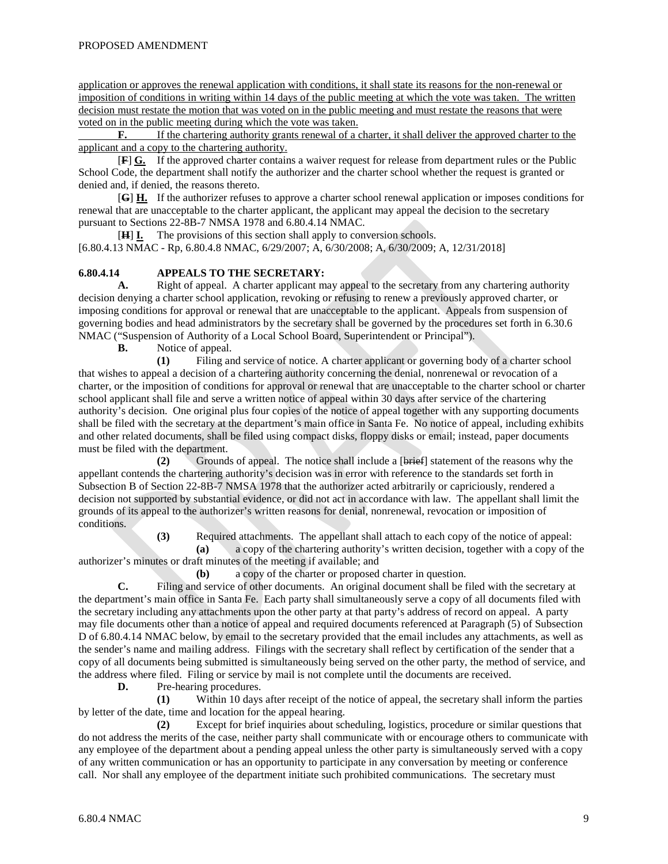application or approves the renewal application with conditions, it shall state its reasons for the non-renewal or imposition of conditions in writing within 14 days of the public meeting at which the vote was taken. The written decision must restate the motion that was voted on in the public meeting and must restate the reasons that were voted on in the public meeting during which the vote was taken.

**F.** If the chartering authority grants renewal of a charter, it shall deliver the approved charter to the applicant and a copy to the chartering authority.

[ **F**] **G.** If the approved charter contains a waiver request for release from department rules or the Public School Code, the department shall notify the authorizer and the charter school whether the request is granted or denied and, if denied, the reasons thereto.

[ **G**] **H.** If the authorizer refuses to approve a charter school renewal application or imposes conditions for renewal that are unacceptable to the charter applicant, the applicant may appeal the decision to the secretary pursuant to Sections 22-8B-7 NMSA 1978 and 6.80.4.14 NMAC.

[**H**] **I.** The provisions of this section shall apply to conversion schools. [6.80.4.13 NMAC - Rp, 6.80.4.8 NMAC, 6/29/2007; A, 6/30/2008; A, 6/30/2009; A, 12/31/2018]

#### **6.80.4.14 APPEALS TO THE SECRETARY:**

**A.** Right of appeal. A charter applicant may appeal to the secretary from any chartering authority decision denying a charter school application, revoking or refusing to renew a previously approved charter, or imposing conditions for approval or renewal that are unacceptable to the applicant. Appeals from suspension of governing bodies and head administrators by the secretary shall be governed by the procedures set forth in 6.30.6 NMAC ("Suspension of Authority of a Local School Board, Superintendent or Principal").

**B.** Notice of appeal.

**(1)** Filing and service of notice. A charter applicant or governing body of a charter school that wishes to appeal a decision of a chartering authority concerning the denial, nonrenewal or revocation of a charter, or the imposition of conditions for approval or renewal that are unacceptable to the charter school or charter school applicant shall file and serve a written notice of appeal within 30 days after service of the chartering authority's decision. One original plus four copies of the notice of appeal together with any supporting documents shall be filed with the secretary at the department's main office in Santa Fe. No notice of appeal, including exhibits and other related documents, shall be filed using compact disks, floppy disks or email; instead, paper documents must be filed with the department.

**(2)** Grounds of appeal. The notice shall include a [brief ] statement of the reasons why the appellant contends the chartering authority's decision was in error with reference to the standards set forth in Subsection B of Section 22-8B-7 NMSA 1978 that the authorizer acted arbitrarily or capriciously, rendered a decision not supported by substantial evidence, or did not act in accordance with law. The appellant shall limit the grounds of its appeal to the authorizer's written reasons for denial, nonrenewal, revocation or imposition of conditions.

**(3)** Required attachments. The appellant shall attach to each copy of the notice of appeal:

**(a)** a copy of the chartering authority's written decision, together with a copy of the authorizer's minutes or draft minutes of the meeting if available; and

**(b)** a copy of the charter or proposed charter in question.

**C.** Filing and service of other documents. An original document shall be filed with the secretary at the department's main office in Santa Fe. Each party shall simultaneously serve a copy of all documents filed with the secretary including any attachments upon the other party at that party's address of record on appeal. A party may file documents other than a notice of appeal and required documents referenced at Paragraph (5) of Subsection D of 6.80.4.14 NMAC below, by email to the secretary provided that the email includes any attachments, as well as the sender's name and mailing address. Filings with the secretary shall reflect by certification of the sender that a copy of all documents being submitted is simultaneously being served on the other party, the method of service, and the address where filed. Filing or service by mail is not complete until the documents are received.

**D.** Pre-hearing procedures.

**(1)** Within 10 days after receipt of the notice of appeal, the secretary shall inform the parties by letter of the date, time and location for the appeal hearing.

**(2)** Except for brief inquiries about scheduling, logistics, procedure or similar questions that do not address the merits of the case, neither party shall communicate with or encourage others to communicate with any employee of the department about a pending appeal unless the other party is simultaneously served with a copy of any written communication or has an opportunity to participate in any conversation by meeting or conference call. Nor shall any employee of the department initiate such prohibited communications. The secretary must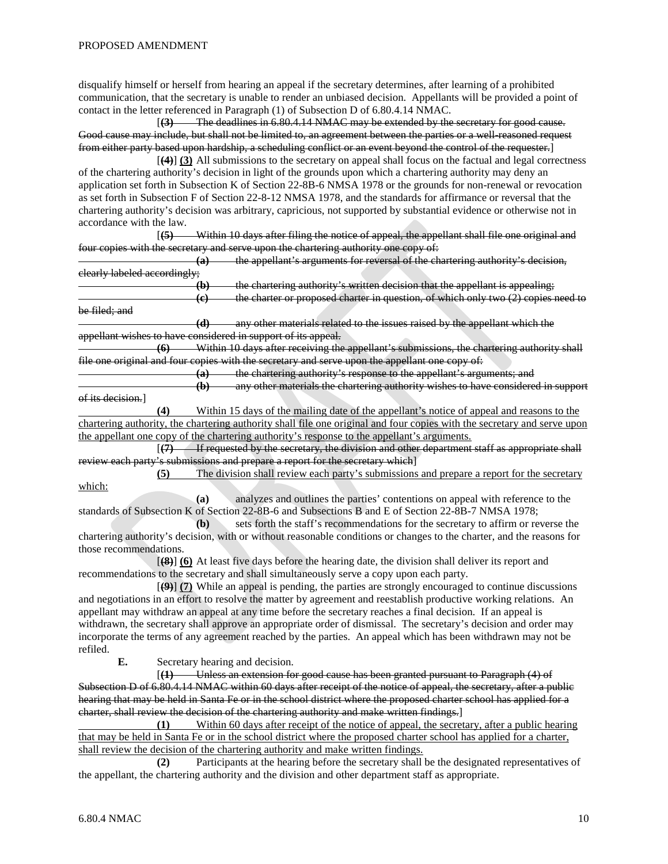disqualify himself or herself from hearing an appeal if the secretary determines, after learning of a prohibited communication, that the secretary is unable to render an unbiased decision. Appellants will be provided a point of contact in the letter referenced in Paragraph (1) of Subsection D of 6.80.4.14 NMAC.

[**(3)** The deadlines in 6.80.4.14 NMAC may be extended by the secretary for good cause. Good cause may include, but shall not be limited to, an agreement between the parties or a well-reasoned request from either party based upon hardship, a scheduling conflict or an event beyond the control of the requester. ]

[ **(4)**] **(3)** All submissions to the secretary on appeal shall focus on the factual and legal correctness of the chartering authority's decision in light of the grounds upon which a chartering authority may deny an application set forth in Subsection K of Section 22-8B-6 NMSA 1978 or the grounds for non-renewal or revocation as set forth in Subsection F of Section 22-8-12 NMSA 1978, and the standards for affirmance or reversal that the chartering authority's decision was arbitrary, capricious, not supported by substantial evidence or otherwise not in accordance with the law.

 $(5)$ **(5)** Within 10 days after filing the notice of appeal, the appellant shall file one original and four copies with the secretary and serve upon the chartering authority one copy of:

**(a)** the appellant's arguments for reversal of the chartering authority's decision, clearly labeled accordingly;

**(b)** the chartering authority's written decision that the appellant is appealing; **(c)** the charter or proposed charter in question, of which only two (2) copies need to

be filed; and **(d)** any other materials related to the issues raised by the appellant which the appellant wishes to have considered in support of its appeal.

**(6)** Within 10 days after receiving the appellant's submissions, the chartering authority shall file one original and four copies with the secretary and serve upon the appellant one copy of:

**(a)** the chartering authority's response to the appellant's arguments; and **(b)** any other materials the chartering authority wishes to have considered in support

of its decision.]

**(4)** Within 15 days of the mailing date of the appellant's notice of appeal and reasons to the chartering authority, the chartering authority shall file one original and four copies with the secretary and serve upon the appellant one copy of the chartering authority's response to the appellant's arguments.

 $(7)$ **(7)** If requested by the secretary, the division and other department staff as appropriate shall review each party's submissions and prepare a report for the secretary which]

**(5)** The division shall review each party's submissions and prepare a report for the secretary which:

**(a)** analyzes and outlines the parties' contentions on appeal with reference to the standards of Subsection K of Section 22-8B-6 and Subsections B and E of Section 22-8B-7 NMSA 1978;

**(b)** sets forth the staff's recommendations for the secretary to affirm or reverse the chartering authority's decision, with or without reasonable conditions or changes to the charter, and the reasons for those recommendations.

[**(8)**] **(6)** At least five days before the hearing date, the division shall deliver its report and recommendations to the secretary and shall simultaneously serve a copy upon each party.

[ **(9)**] **(7)** While an appeal is pending, the parties are strongly encouraged to continue discussions and negotiations in an effort to resolve the matter by agreement and reestablish productive working relations. An appellant may withdraw an appeal at any time before the secretary reaches a final decision. If an appeal is withdrawn, the secretary shall approve an appropriate order of dismissal. The secretary's decision and order may incorporate the terms of any agreement reached by the parties. An appeal which has been withdrawn may not be refiled.

**E.** Secretary hearing and decision.

[**(1)** Unless an extension for good cause has been granted pursuant to Paragraph (4) of Subsection D of 6.80.4.14 NMAC within 60 days after receipt of the notice of appeal, the secretary, after a public hearing that may be held in Santa Fe or in the school district where the proposed charter school has applied for a charter, shall review the decision of the chartering authority and make written findings.]

**(1)** Within 60 days after receipt of the notice of appeal, the secretary, after a public hearing that may be held in Santa Fe or in the school district where the proposed charter school has applied for a charter, shall review the decision of the chartering authority and make written findings.

**(2)** Participants at the hearing before the secretary shall be the designated representatives of the appellant, the chartering authority and the division and other department staff as appropriate.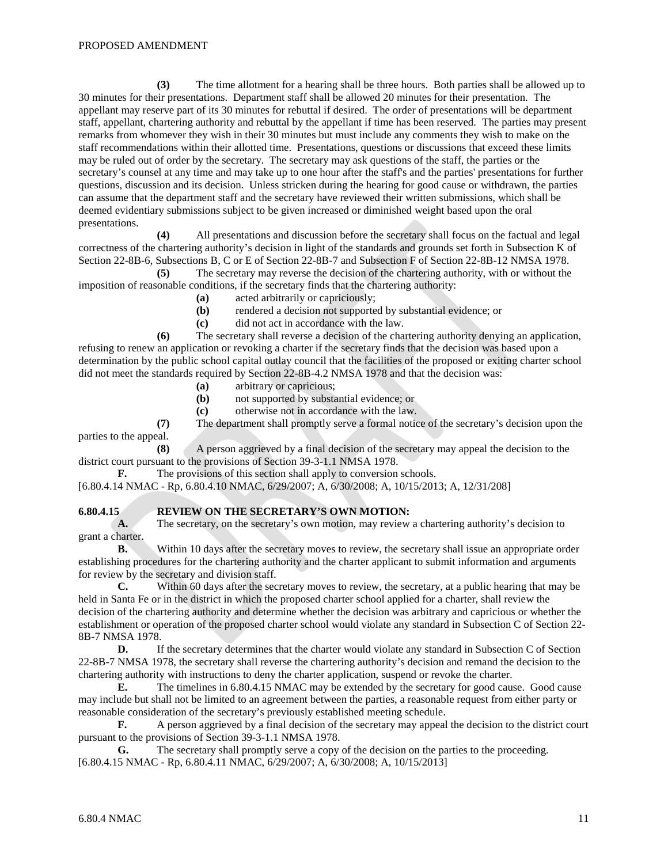**(3)** The time allotment for a hearing shall be three hours. Both parties shall be allowed up to 30 minutes for their presentations. Department staff shall be allowed 20 minutes for their presentation. The appellant may reserve part of its 30 minutes for rebuttal if desired. The order of presentations will be department staff, appellant, chartering authority and rebuttal by the appellant if time has been reserved. The parties may present remarks from whomever they wish in their 30 minutes but must include any comments they wish to make on the staff recommendations within their allotted time. Presentations, questions or discussions that exceed these limits may be ruled out of order by the secretary. The secretary may ask questions of the staff, the parties or the secretary's counsel at any time and may take up to one hour after the staff's and the parties' presentations for further questions, discussion and its decision. Unless stricken during the hearing for good cause or withdrawn, the parties can assume that the department staff and the secretary have reviewed their written submissions, which shall be deemed evidentiary submissions subject to be given increased or diminished weight based upon the oral presentations.

**(4)** All presentations and discussion before the secretary shall focus on the factual and legal correctness of the chartering authority's decision in light of the standards and grounds set forth in Subsection K of Section 22-8B-6, Subsections B, C or E of Section 22-8B-7 and Subsection F of Section 22-8B-12 NMSA 1978.

**(5)** The secretary may reverse the decision of the chartering authority, with or without the imposition of reasonable conditions, if the secretary finds that the chartering authority:

- **(a)** acted arbitrarily or capriciously;
- **(b)** rendered a decision not supported by substantial evidence; or **(c)** did not act in accordance with the law.
- **(c)** did not act in accordance with the law.

**(6)** The secretary shall reverse a decision of the chartering authority denying an application, refusing to renew an application or revoking a charter if the secretary finds that the decision was based upon a determination by the public school capital outlay council that the facilities of the proposed or exiting charter school did not meet the standards required by Section 22-8B-4.2 NMSA 1978 and that the decision was:

- **(a)** arbitrary or capricious;
- **(b)** not supported by substantial evidence; or
- **(c)** otherwise not in accordance with the law.

**(7)** The department shall promptly serve a formal notice of the secretary's decision upon the parties to the appeal.

**(8)** A person aggrieved by a final decision of the secretary may appeal the decision to the district court pursuant to the provisions of Section 39-3-1.1 NMSA 1978.

**F.** The provisions of this section shall apply to conversion schools.

[6.80.4.14 NMAC - Rp, 6.80.4.10 NMAC, 6/29/2007; A, 6/30/2008; A, 10/15/2013; A, 12/31/208]

#### **6.80.4.15 REVIEW ON THE SECRETARY'S OWN MOTION:**

**A.** The secretary, on the secretary's own motion, may review a chartering authority's decision to grant a charter.

**B.** Within 10 days after the secretary moves to review, the secretary shall issue an appropriate order establishing procedures for the chartering authority and the charter applicant to submit information and arguments for review by the secretary and division staff.

**C.** Within 60 days after the secretary moves to review, the secretary, at a public hearing that may be held in Santa Fe or in the district in which the proposed charter school applied for a charter, shall review the decision of the chartering authority and determine whether the decision was arbitrary and capricious or whether the establishment or operation of the proposed charter school would violate any standard in Subsection C of Section 22- 8B-7 NMSA 1978.

**D.** If the secretary determines that the charter would violate any standard in Subsection C of Section 22-8B-7 NMSA 1978, the secretary shall reverse the chartering authority's decision and remand the decision to the chartering authority with instructions to deny the charter application, suspend or revoke the charter.

**E.** The timelines in 6.80.4.15 NMAC may be extended by the secretary for good cause. Good cause may include but shall not be limited to an agreement between the parties, a reasonable request from either party or reasonable consideration of the secretary's previously established meeting schedule.

**F.** A person aggrieved by a final decision of the secretary may appeal the decision to the district court pursuant to the provisions of Section 39-3-1.1 NMSA 1978.

**G.** The secretary shall promptly serve a copy of the decision on the parties to the proceeding. [6.80.4.15 NMAC - Rp, 6.80.4.11 NMAC, 6/29/2007; A, 6/30/2008; A, 10/15/2013]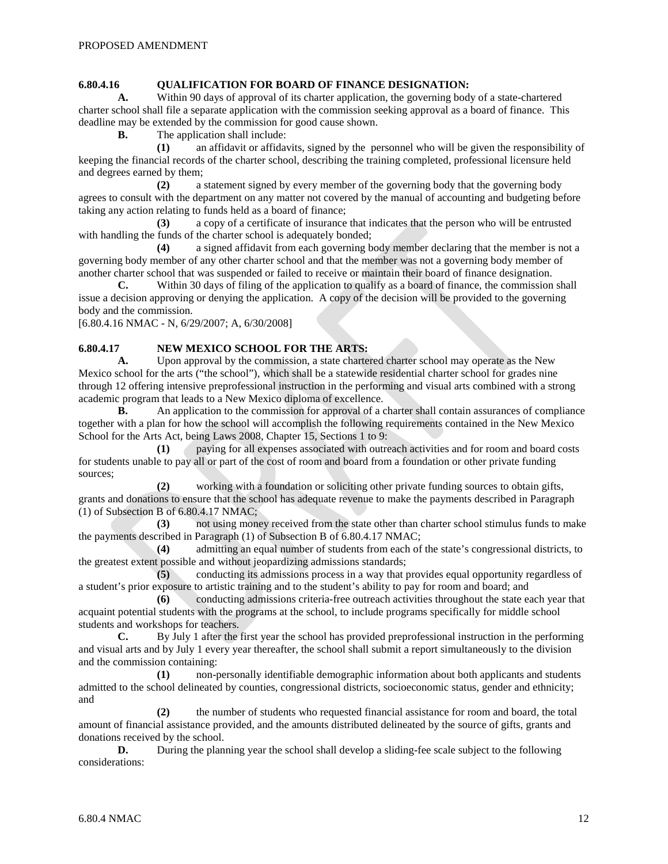# **6.80.4.16 QUALIFICATION FOR BOARD OF FINANCE DESIGNATION:**

**A.** Within 90 days of approval of its charter application, the governing body of a state-chartered charter school shall file a separate application with the commission seeking approval as a board of finance. This deadline may be extended by the commission for good cause shown.

**B.** The application shall include:

**(1)** an affidavit or affidavits, signed by the personnel who will be given the responsibility of keeping the financial records of the charter school, describing the training completed, professional licensure held and degrees earned by them;

**(2)** a statement signed by every member of the governing body that the governing body agrees to consult with the department on any matter not covered by the manual of accounting and budgeting before taking any action relating to funds held as a board of finance;

**(3)** a copy of a certificate of insurance that indicates that the person who will be entrusted with handling the funds of the charter school is adequately bonded;

**(4)** a signed affidavit from each governing body member declaring that the member is not a governing body member of any other charter school and that the member was not a governing body member of another charter school that was suspended or failed to receive or maintain their board of finance designation.

**C.** Within 30 days of filing of the application to qualify as a board of finance, the commission shall issue a decision approving or denying the application. A copy of the decision will be provided to the governing body and the commission.

[6.80.4.16 NMAC - N, 6/29/2007; A, 6/30/2008]

## **6.80.4.17 NEW MEXICO SCHOOL FOR THE ARTS:**

**A.** Upon approval by the commission, a state chartered charter school may operate as the New Mexico school for the arts ("the school"), which shall be a statewide residential charter school for grades nine through 12 offering intensive preprofessional instruction in the performing and visual arts combined with a strong academic program that leads to a New Mexico diploma of excellence.

**B.** An application to the commission for approval of a charter shall contain assurances of compliance together with a plan for how the school will accomplish the following requirements contained in the New Mexico School for the Arts Act, being Laws 2008, Chapter 15, Sections 1 to 9:

**(1)** paying for all expenses associated with outreach activities and for room and board costs for students unable to pay all or part of the cost of room and board from a foundation or other private funding sources;

**(2)** working with a foundation or soliciting other private funding sources to obtain gifts, grants and donations to ensure that the school has adequate revenue to make the payments described in Paragraph (1) of Subsection B of 6.80.4.17 NMAC;

**(3)** not using money received from the state other than charter school stimulus funds to make the payments described in Paragraph (1) of Subsection B of 6.80.4.17 NMAC;

**(4)** admitting an equal number of students from each of the state's congressional districts, to the greatest extent possible and without jeopardizing admissions standards;

**(5)** conducting its admissions process in a way that provides equal opportunity regardless of a student's prior exposure to artistic training and to the student's ability to pay for room and board; and

**(6)** conducting admissions criteria-free outreach activities throughout the state each year that acquaint potential students with the programs at the school, to include programs specifically for middle school students and workshops for teachers.

**C.** By July 1 after the first year the school has provided preprofessional instruction in the performing and visual arts and by July 1 every year thereafter, the school shall submit a report simultaneously to the division and the commission containing:

**(1)** non-personally identifiable demographic information about both applicants and students admitted to the school delineated by counties, congressional districts, socioeconomic status, gender and ethnicity; and

**(2)** the number of students who requested financial assistance for room and board, the total amount of financial assistance provided, and the amounts distributed delineated by the source of gifts, grants and donations received by the school.

**D.** During the planning year the school shall develop a sliding-fee scale subject to the following considerations: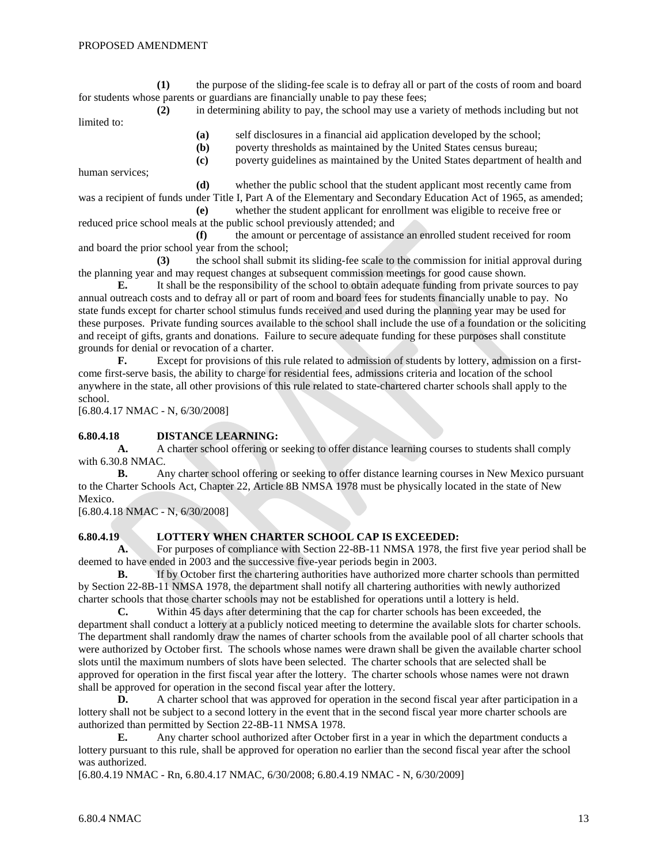**(1)** the purpose of the sliding-fee scale is to defray all or part of the costs of room and board for students whose parents or guardians are financially unable to pay these fees;

**(2)** in determining ability to pay, the school may use a variety of methods including but not limited to:

**(a)** self disclosures in a financial aid application developed by the school;

**(b)** poverty thresholds as maintained by the United States census bureau; **(c)** poverty guidelines as maintained by the United States department of health and

human services;

**(d)** whether the public school that the student applicant most recently came from was a recipient of funds under Title I, Part A of the Elementary and Secondary Education Act of 1965, as amended;

**(e)** whether the student applicant for enrollment was eligible to receive free or reduced price school meals at the public school previously attended; and

**(f)** the amount or percentage of assistance an enrolled student received for room and board the prior school year from the school;

**(3)** the school shall submit its sliding-fee scale to the commission for initial approval during the planning year and may request changes at subsequent commission meetings for good cause shown.

**E.** It shall be the responsibility of the school to obtain adequate funding from private sources to pay annual outreach costs and to defray all or part of room and board fees for students financially unable to pay. No state funds except for charter school stimulus funds received and used during the planning year may be used for these purposes. Private funding sources available to the school shall include the use of a foundation or the soliciting and receipt of gifts, grants and donations. Failure to secure adequate funding for these purposes shall constitute grounds for denial or revocation of a charter.

**F.** Except for provisions of this rule related to admission of students by lottery, admission on a firstcome first-serve basis, the ability to charge for residential fees, admissions criteria and location of the school anywhere in the state, all other provisions of this rule related to state-chartered charter schools shall apply to the school.

[6.80.4.17 NMAC - N, 6/30/2008]

#### **6.80.4.18 DISTANCE LEARNING:**

**A.** A charter school offering or seeking to offer distance learning courses to students shall comply with 6.30.8 NMAC.

**B.** Any charter school offering or seeking to offer distance learning courses in New Mexico pursuant to the Charter Schools Act, Chapter 22, Article 8B NMSA 1978 must be physically located in the state of New Mexico.

[6.80.4.18 NMAC - N, 6/30/2008]

#### **6.80.4.19 LOTTERY WHEN CHARTER SCHOOL CAP IS EXCEEDED:**

**A.** For purposes of compliance with Section 22-8B-11 NMSA 1978, the first five year period shall be deemed to have ended in 2003 and the successive five-year periods begin in 2003.

**B.** If by October first the chartering authorities have authorized more charter schools than permitted by Section 22-8B-11 NMSA 1978, the department shall notify all chartering authorities with newly authorized charter schools that those charter schools may not be established for operations until a lottery is held.

**C.** Within 45 days after determining that the cap for charter schools has been exceeded, the department shall conduct a lottery at a publicly noticed meeting to determine the available slots for charter schools. The department shall randomly draw the names of charter schools from the available pool of all charter schools that were authorized by October first. The schools whose names were drawn shall be given the available charter school slots until the maximum numbers of slots have been selected. The charter schools that are selected shall be approved for operation in the first fiscal year after the lottery. The charter schools whose names were not drawn shall be approved for operation in the second fiscal year after the lottery.

**D.** A charter school that was approved for operation in the second fiscal year after participation in a lottery shall not be subject to a second lottery in the event that in the second fiscal year more charter schools are authorized than permitted by Section 22-8B-11 NMSA 1978.

**E.** Any charter school authorized after October first in a year in which the department conducts a lottery pursuant to this rule, shall be approved for operation no earlier than the second fiscal year after the school was authorized.

[6.80.4.19 NMAC - Rn, 6.80.4.17 NMAC, 6/30/2008; 6.80.4.19 NMAC - N, 6/30/2009]